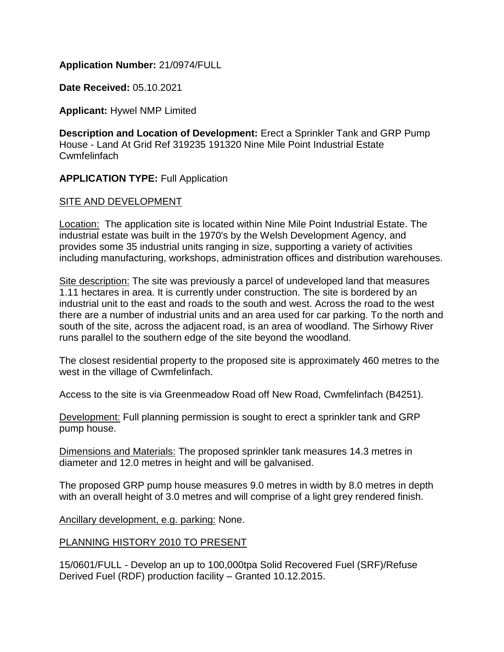### **Application Number:** 21/0974/FULL

**Date Received:** 05.10.2021

**Applicant:** Hywel NMP Limited

**Description and Location of Development:** Erect a Sprinkler Tank and GRP Pump House - Land At Grid Ref 319235 191320 Nine Mile Point Industrial Estate Cwmfelinfach

### **APPLICATION TYPE:** Full Application

### SITE AND DEVELOPMENT

Location: The application site is located within Nine Mile Point Industrial Estate. The industrial estate was built in the 1970's by the Welsh Development Agency, and provides some 35 industrial units ranging in size, supporting a variety of activities including manufacturing, workshops, administration offices and distribution warehouses.

Site description: The site was previously a parcel of undeveloped land that measures 1.11 hectares in area. It is currently under construction. The site is bordered by an industrial unit to the east and roads to the south and west. Across the road to the west there are a number of industrial units and an area used for car parking. To the north and south of the site, across the adjacent road, is an area of woodland. The Sirhowy River runs parallel to the southern edge of the site beyond the woodland.

The closest residential property to the proposed site is approximately 460 metres to the west in the village of Cwmfelinfach.

Access to the site is via Greenmeadow Road off New Road, Cwmfelinfach (B4251).

Development: Full planning permission is sought to erect a sprinkler tank and GRP pump house.

Dimensions and Materials: The proposed sprinkler tank measures 14.3 metres in diameter and 12.0 metres in height and will be galvanised.

The proposed GRP pump house measures 9.0 metres in width by 8.0 metres in depth with an overall height of 3.0 metres and will comprise of a light grey rendered finish.

Ancillary development, e.g. parking: None.

### PLANNING HISTORY 2010 TO PRESENT

15/0601/FULL - Develop an up to 100,000tpa Solid Recovered Fuel (SRF)/Refuse Derived Fuel (RDF) production facility – Granted 10.12.2015.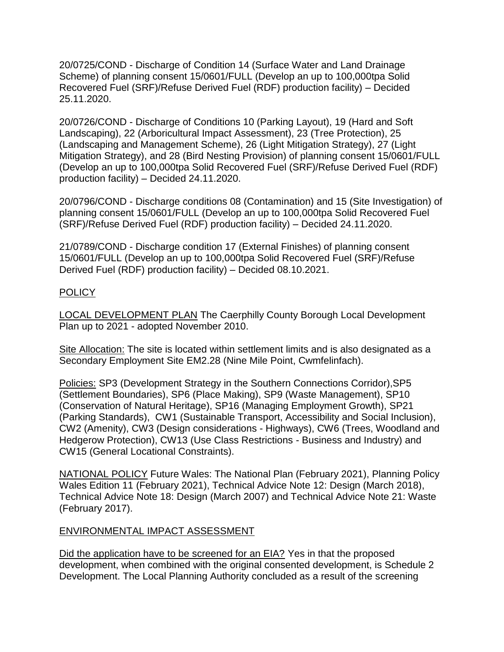20/0725/COND - Discharge of Condition 14 (Surface Water and Land Drainage Scheme) of planning consent 15/0601/FULL (Develop an up to 100,000tpa Solid Recovered Fuel (SRF)/Refuse Derived Fuel (RDF) production facility) – Decided 25.11.2020.

20/0726/COND - Discharge of Conditions 10 (Parking Layout), 19 (Hard and Soft Landscaping), 22 (Arboricultural Impact Assessment), 23 (Tree Protection), 25 (Landscaping and Management Scheme), 26 (Light Mitigation Strategy), 27 (Light Mitigation Strategy), and 28 (Bird Nesting Provision) of planning consent 15/0601/FULL (Develop an up to 100,000tpa Solid Recovered Fuel (SRF)/Refuse Derived Fuel (RDF) production facility) – Decided 24.11.2020.

20/0796/COND - Discharge conditions 08 (Contamination) and 15 (Site Investigation) of planning consent 15/0601/FULL (Develop an up to 100,000tpa Solid Recovered Fuel (SRF)/Refuse Derived Fuel (RDF) production facility) – Decided 24.11.2020.

21/0789/COND - Discharge condition 17 (External Finishes) of planning consent 15/0601/FULL (Develop an up to 100,000tpa Solid Recovered Fuel (SRF)/Refuse Derived Fuel (RDF) production facility) – Decided 08.10.2021.

## POLICY

LOCAL DEVELOPMENT PLAN The Caerphilly County Borough Local Development Plan up to 2021 - adopted November 2010.

Site Allocation: The site is located within settlement limits and is also designated as a Secondary Employment Site EM2.28 (Nine Mile Point, Cwmfelinfach).

Policies: SP3 (Development Strategy in the Southern Connections Corridor),SP5 (Settlement Boundaries), SP6 (Place Making), SP9 (Waste Management), SP10 (Conservation of Natural Heritage), SP16 (Managing Employment Growth), SP21 (Parking Standards), CW1 (Sustainable Transport, Accessibility and Social Inclusion), CW2 (Amenity), CW3 (Design considerations - Highways), CW6 (Trees, Woodland and Hedgerow Protection), CW13 (Use Class Restrictions - Business and Industry) and CW15 (General Locational Constraints).

NATIONAL POLICY Future Wales: The National Plan (February 2021), Planning Policy Wales Edition 11 (February 2021), Technical Advice Note 12: Design (March 2018), Technical Advice Note 18: Design (March 2007) and Technical Advice Note 21: Waste (February 2017).

### ENVIRONMENTAL IMPACT ASSESSMENT

Did the application have to be screened for an EIA? Yes in that the proposed development, when combined with the original consented development, is Schedule 2 Development. The Local Planning Authority concluded as a result of the screening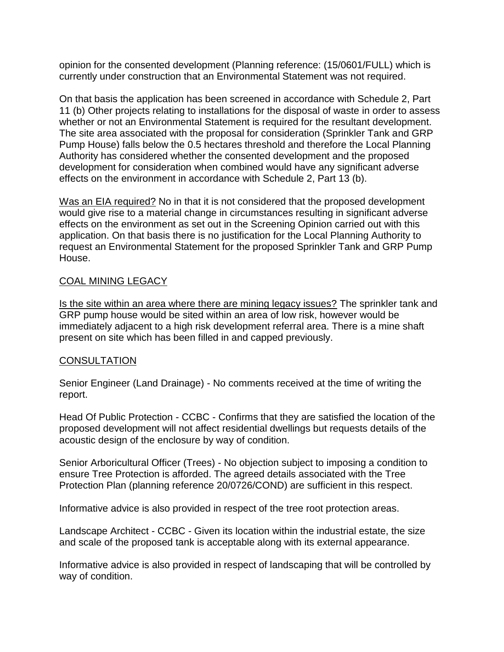opinion for the consented development (Planning reference: (15/0601/FULL) which is currently under construction that an Environmental Statement was not required.

On that basis the application has been screened in accordance with Schedule 2, Part 11 (b) Other projects relating to installations for the disposal of waste in order to assess whether or not an Environmental Statement is required for the resultant development. The site area associated with the proposal for consideration (Sprinkler Tank and GRP Pump House) falls below the 0.5 hectares threshold and therefore the Local Planning Authority has considered whether the consented development and the proposed development for consideration when combined would have any significant adverse effects on the environment in accordance with Schedule 2, Part 13 (b).

Was an EIA required? No in that it is not considered that the proposed development would give rise to a material change in circumstances resulting in significant adverse effects on the environment as set out in the Screening Opinion carried out with this application. On that basis there is no justification for the Local Planning Authority to request an Environmental Statement for the proposed Sprinkler Tank and GRP Pump House.

## COAL MINING LEGACY

Is the site within an area where there are mining legacy issues? The sprinkler tank and GRP pump house would be sited within an area of low risk, however would be immediately adjacent to a high risk development referral area. There is a mine shaft present on site which has been filled in and capped previously.

# **CONSULTATION**

Senior Engineer (Land Drainage) - No comments received at the time of writing the report.

Head Of Public Protection - CCBC - Confirms that they are satisfied the location of the proposed development will not affect residential dwellings but requests details of the acoustic design of the enclosure by way of condition.

Senior Arboricultural Officer (Trees) - No objection subject to imposing a condition to ensure Tree Protection is afforded. The agreed details associated with the Tree Protection Plan (planning reference 20/0726/COND) are sufficient in this respect.

Informative advice is also provided in respect of the tree root protection areas.

Landscape Architect - CCBC - Given its location within the industrial estate, the size and scale of the proposed tank is acceptable along with its external appearance.

Informative advice is also provided in respect of landscaping that will be controlled by way of condition.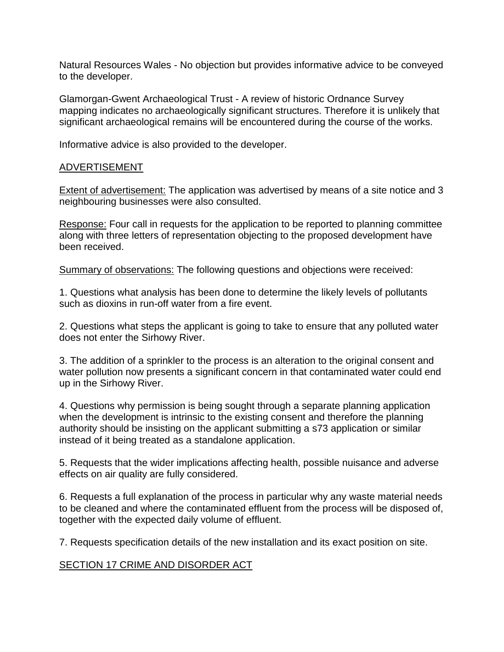Natural Resources Wales - No objection but provides informative advice to be conveyed to the developer.

Glamorgan-Gwent Archaeological Trust - A review of historic Ordnance Survey mapping indicates no archaeologically significant structures. Therefore it is unlikely that significant archaeological remains will be encountered during the course of the works.

Informative advice is also provided to the developer.

#### ADVERTISEMENT

Extent of advertisement: The application was advertised by means of a site notice and 3 neighbouring businesses were also consulted.

Response: Four call in requests for the application to be reported to planning committee along with three letters of representation objecting to the proposed development have been received.

Summary of observations: The following questions and objections were received:

1. Questions what analysis has been done to determine the likely levels of pollutants such as dioxins in run-off water from a fire event.

2. Questions what steps the applicant is going to take to ensure that any polluted water does not enter the Sirhowy River.

3. The addition of a sprinkler to the process is an alteration to the original consent and water pollution now presents a significant concern in that contaminated water could end up in the Sirhowy River.

4. Questions why permission is being sought through a separate planning application when the development is intrinsic to the existing consent and therefore the planning authority should be insisting on the applicant submitting a s73 application or similar instead of it being treated as a standalone application.

5. Requests that the wider implications affecting health, possible nuisance and adverse effects on air quality are fully considered.

6. Requests a full explanation of the process in particular why any waste material needs to be cleaned and where the contaminated effluent from the process will be disposed of, together with the expected daily volume of effluent.

7. Requests specification details of the new installation and its exact position on site.

### SECTION 17 CRIME AND DISORDER ACT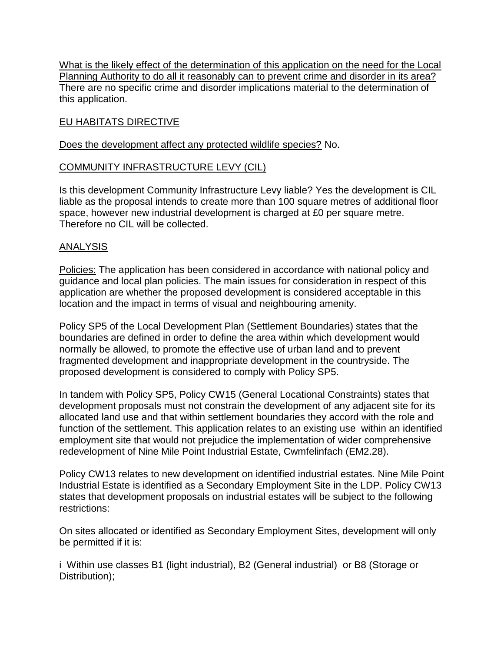What is the likely effect of the determination of this application on the need for the Local Planning Authority to do all it reasonably can to prevent crime and disorder in its area? There are no specific crime and disorder implications material to the determination of this application.

# EU HABITATS DIRECTIVE

### Does the development affect any protected wildlife species? No.

### COMMUNITY INFRASTRUCTURE LEVY (CIL)

Is this development Community Infrastructure Levy liable? Yes the development is CIL liable as the proposal intends to create more than 100 square metres of additional floor space, however new industrial development is charged at £0 per square metre. Therefore no CIL will be collected.

#### ANALYSIS

Policies: The application has been considered in accordance with national policy and guidance and local plan policies. The main issues for consideration in respect of this application are whether the proposed development is considered acceptable in this location and the impact in terms of visual and neighbouring amenity.

Policy SP5 of the Local Development Plan (Settlement Boundaries) states that the boundaries are defined in order to define the area within which development would normally be allowed, to promote the effective use of urban land and to prevent fragmented development and inappropriate development in the countryside. The proposed development is considered to comply with Policy SP5.

In tandem with Policy SP5, Policy CW15 (General Locational Constraints) states that development proposals must not constrain the development of any adjacent site for its allocated land use and that within settlement boundaries they accord with the role and function of the settlement. This application relates to an existing use within an identified employment site that would not prejudice the implementation of wider comprehensive redevelopment of Nine Mile Point Industrial Estate, Cwmfelinfach (EM2.28).

Policy CW13 relates to new development on identified industrial estates. Nine Mile Point Industrial Estate is identified as a Secondary Employment Site in the LDP. Policy CW13 states that development proposals on industrial estates will be subject to the following restrictions:

On sites allocated or identified as Secondary Employment Sites, development will only be permitted if it is:

i Within use classes B1 (light industrial), B2 (General industrial) or B8 (Storage or Distribution);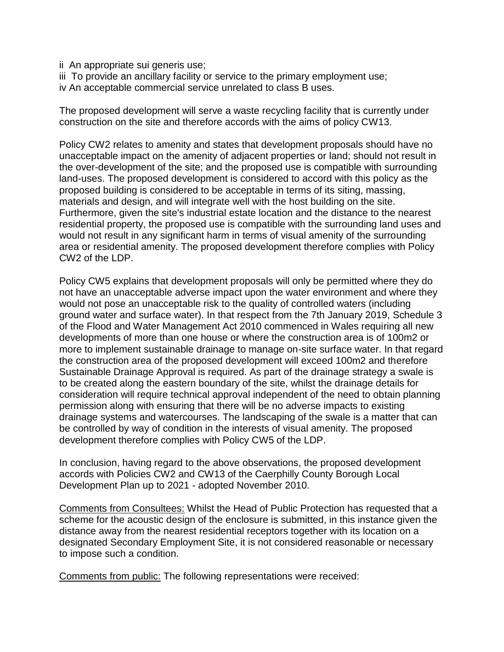- ii An appropriate sui generis use;
- iii To provide an ancillary facility or service to the primary employment use;
- iv An acceptable commercial service unrelated to class B uses.

The proposed development will serve a waste recycling facility that is currently under construction on the site and therefore accords with the aims of policy CW13.

Policy CW2 relates to amenity and states that development proposals should have no unacceptable impact on the amenity of adjacent properties or land; should not result in the over-development of the site; and the proposed use is compatible with surrounding land-uses. The proposed development is considered to accord with this policy as the proposed building is considered to be acceptable in terms of its siting, massing, materials and design, and will integrate well with the host building on the site. Furthermore, given the site's industrial estate location and the distance to the nearest residential property, the proposed use is compatible with the surrounding land uses and would not result in any significant harm in terms of visual amenity of the surrounding area or residential amenity. The proposed development therefore complies with Policy CW2 of the LDP.

Policy CW5 explains that development proposals will only be permitted where they do not have an unacceptable adverse impact upon the water environment and where they would not pose an unacceptable risk to the quality of controlled waters (including ground water and surface water). In that respect from the 7th January 2019, Schedule 3 of the Flood and Water Management Act 2010 commenced in Wales requiring all new developments of more than one house or where the construction area is of 100m2 or more to implement sustainable drainage to manage on-site surface water. In that regard the construction area of the proposed development will exceed 100m2 and therefore Sustainable Drainage Approval is required. As part of the drainage strategy a swale is to be created along the eastern boundary of the site, whilst the drainage details for consideration will require technical approval independent of the need to obtain planning permission along with ensuring that there will be no adverse impacts to existing drainage systems and watercourses. The landscaping of the swale is a matter that can be controlled by way of condition in the interests of visual amenity. The proposed development therefore complies with Policy CW5 of the LDP.

In conclusion, having regard to the above observations, the proposed development accords with Policies CW2 and CW13 of the Caerphilly County Borough Local Development Plan up to 2021 - adopted November 2010.

Comments from Consultees: Whilst the Head of Public Protection has requested that a scheme for the acoustic design of the enclosure is submitted, in this instance given the distance away from the nearest residential receptors together with its location on a designated Secondary Employment Site, it is not considered reasonable or necessary to impose such a condition.

Comments from public: The following representations were received: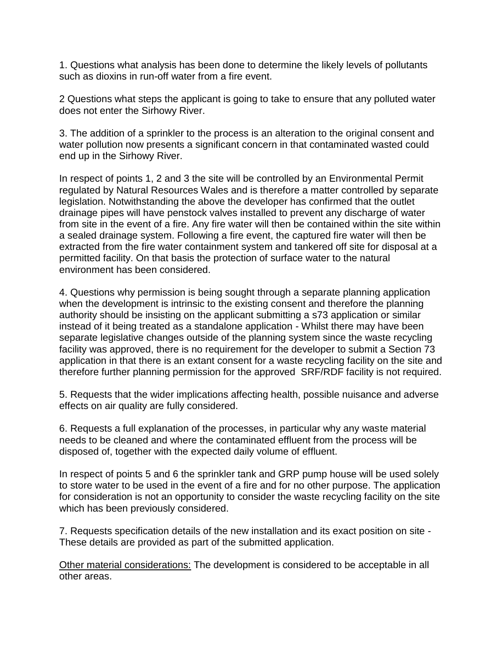1. Questions what analysis has been done to determine the likely levels of pollutants such as dioxins in run-off water from a fire event.

2 Questions what steps the applicant is going to take to ensure that any polluted water does not enter the Sirhowy River.

3. The addition of a sprinkler to the process is an alteration to the original consent and water pollution now presents a significant concern in that contaminated wasted could end up in the Sirhowy River.

In respect of points 1, 2 and 3 the site will be controlled by an Environmental Permit regulated by Natural Resources Wales and is therefore a matter controlled by separate legislation. Notwithstanding the above the developer has confirmed that the outlet drainage pipes will have penstock valves installed to prevent any discharge of water from site in the event of a fire. Any fire water will then be contained within the site within a sealed drainage system. Following a fire event, the captured fire water will then be extracted from the fire water containment system and tankered off site for disposal at a permitted facility. On that basis the protection of surface water to the natural environment has been considered.

4. Questions why permission is being sought through a separate planning application when the development is intrinsic to the existing consent and therefore the planning authority should be insisting on the applicant submitting a s73 application or similar instead of it being treated as a standalone application - Whilst there may have been separate legislative changes outside of the planning system since the waste recycling facility was approved, there is no requirement for the developer to submit a Section 73 application in that there is an extant consent for a waste recycling facility on the site and therefore further planning permission for the approved SRF/RDF facility is not required.

5. Requests that the wider implications affecting health, possible nuisance and adverse effects on air quality are fully considered.

6. Requests a full explanation of the processes, in particular why any waste material needs to be cleaned and where the contaminated effluent from the process will be disposed of, together with the expected daily volume of effluent.

In respect of points 5 and 6 the sprinkler tank and GRP pump house will be used solely to store water to be used in the event of a fire and for no other purpose. The application for consideration is not an opportunity to consider the waste recycling facility on the site which has been previously considered.

7. Requests specification details of the new installation and its exact position on site - These details are provided as part of the submitted application.

Other material considerations: The development is considered to be acceptable in all other areas.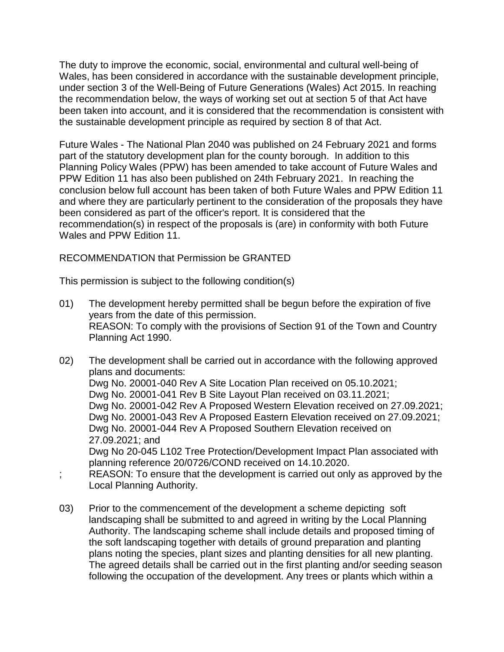The duty to improve the economic, social, environmental and cultural well-being of Wales, has been considered in accordance with the sustainable development principle, under section 3 of the Well-Being of Future Generations (Wales) Act 2015. In reaching the recommendation below, the ways of working set out at section 5 of that Act have been taken into account, and it is considered that the recommendation is consistent with the sustainable development principle as required by section 8 of that Act.

Future Wales - The National Plan 2040 was published on 24 February 2021 and forms part of the statutory development plan for the county borough. In addition to this Planning Policy Wales (PPW) has been amended to take account of Future Wales and PPW Edition 11 has also been published on 24th February 2021. In reaching the conclusion below full account has been taken of both Future Wales and PPW Edition 11 and where they are particularly pertinent to the consideration of the proposals they have been considered as part of the officer's report. It is considered that the recommendation(s) in respect of the proposals is (are) in conformity with both Future Wales and PPW Edition 11.

RECOMMENDATION that Permission be GRANTED

This permission is subject to the following condition(s)

- 01) The development hereby permitted shall be begun before the expiration of five years from the date of this permission. REASON: To comply with the provisions of Section 91 of the Town and Country Planning Act 1990.
- 02) The development shall be carried out in accordance with the following approved plans and documents: Dwg No. 20001-040 Rev A Site Location Plan received on 05.10.2021; Dwg No. 20001-041 Rev B Site Layout Plan received on 03.11.2021; Dwg No. 20001-042 Rev A Proposed Western Elevation received on 27.09.2021; Dwg No. 20001-043 Rev A Proposed Eastern Elevation received on 27.09.2021; Dwg No. 20001-044 Rev A Proposed Southern Elevation received on 27.09.2021; and Dwg No 20-045 L102 Tree Protection/Development Impact Plan associated with planning reference 20/0726/COND received on 14.10.2020.
- REASON: To ensure that the development is carried out only as approved by the Local Planning Authority.
- 03) Prior to the commencement of the development a scheme depicting soft landscaping shall be submitted to and agreed in writing by the Local Planning Authority. The landscaping scheme shall include details and proposed timing of the soft landscaping together with details of ground preparation and planting plans noting the species, plant sizes and planting densities for all new planting. The agreed details shall be carried out in the first planting and/or seeding season following the occupation of the development. Any trees or plants which within a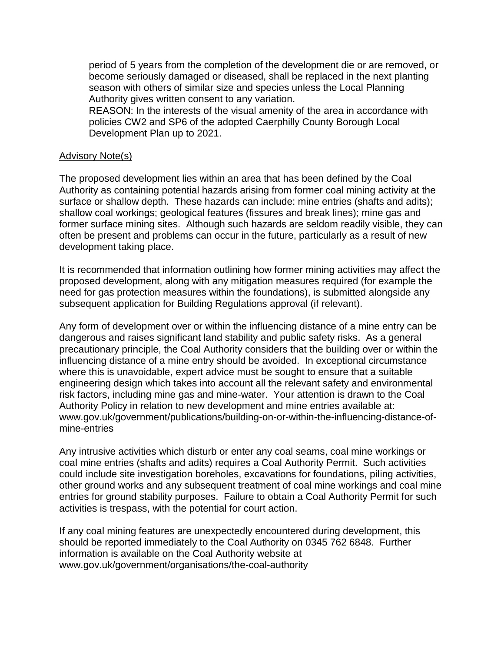period of 5 years from the completion of the development die or are removed, or become seriously damaged or diseased, shall be replaced in the next planting season with others of similar size and species unless the Local Planning Authority gives written consent to any variation.

REASON: In the interests of the visual amenity of the area in accordance with policies CW2 and SP6 of the adopted Caerphilly County Borough Local Development Plan up to 2021.

#### Advisory Note(s)

The proposed development lies within an area that has been defined by the Coal Authority as containing potential hazards arising from former coal mining activity at the surface or shallow depth. These hazards can include: mine entries (shafts and adits); shallow coal workings; geological features (fissures and break lines); mine gas and former surface mining sites. Although such hazards are seldom readily visible, they can often be present and problems can occur in the future, particularly as a result of new development taking place.

It is recommended that information outlining how former mining activities may affect the proposed development, along with any mitigation measures required (for example the need for gas protection measures within the foundations), is submitted alongside any subsequent application for Building Regulations approval (if relevant).

Any form of development over or within the influencing distance of a mine entry can be dangerous and raises significant land stability and public safety risks. As a general precautionary principle, the Coal Authority considers that the building over or within the influencing distance of a mine entry should be avoided. In exceptional circumstance where this is unavoidable, expert advice must be sought to ensure that a suitable engineering design which takes into account all the relevant safety and environmental risk factors, including mine gas and mine-water. Your attention is drawn to the Coal Authority Policy in relation to new development and mine entries available at: www.gov.uk/government/publications/building-on-or-within-the-influencing-distance-ofmine-entries

Any intrusive activities which disturb or enter any coal seams, coal mine workings or coal mine entries (shafts and adits) requires a Coal Authority Permit. Such activities could include site investigation boreholes, excavations for foundations, piling activities, other ground works and any subsequent treatment of coal mine workings and coal mine entries for ground stability purposes. Failure to obtain a Coal Authority Permit for such activities is trespass, with the potential for court action.

If any coal mining features are unexpectedly encountered during development, this should be reported immediately to the Coal Authority on 0345 762 6848. Further information is available on the Coal Authority website at www.gov.uk/government/organisations/the-coal-authority